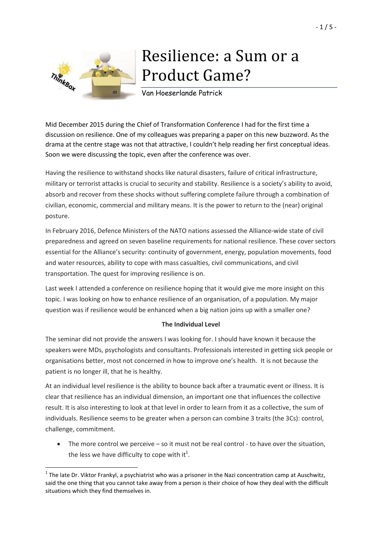

**.** 

# Resilience: a Sum or a Product Game?

Van Hoeserlande Patrick

Mid December 2015 during the Chief of Transformation Conference I had for the first time a discussion on resilience. One of my colleagues was preparing a paper on this new buzzword. As the drama at the centre stage was not that attractive, I couldn't help reading her first conceptual ideas. Soon we were discussing the topic, even after the conference was over.

Having the resilience to withstand shocks like natural disasters, failure of critical infrastructure, military or terrorist attacks is crucial to security and stability. Resilience is a society's ability to avoid, absorb and recover from these shocks without suffering complete failure through a combination of civilian, economic, commercial and military means. It is the power to return to the (near) original posture.

In February 2016, Defence Ministers of the NATO nations assessed the Alliance-wide state of civil preparedness and agreed on seven baseline requirements for national resilience. These cover sectors essential for the Alliance's security: continuity of government, energy, population movements, food and water resources, ability to cope with mass casualties, civil communications, and civil transportation. The quest for improving resilience is on.

Last week I attended a conference on resilience hoping that it would give me more insight on this topic. I was looking on how to enhance resilience of an organisation, of a population. My major question was if resilience would be enhanced when a big nation joins up with a smaller one?

## **The Individual Level**

The seminar did not provide the answers I was looking for. I should have known it because the speakers were MDs, psychologists and consultants. Professionals interested in getting sick people or organisations better, most not concerned in how to improve one's health. It is not because the patient is no longer ill, that he is healthy.

At an individual level resilience is the ability to bounce back after a traumatic event or illness. It is clear that resilience has an individual dimension, an important one that influences the collective result. It is also interesting to look at that level in order to learn from it as a collective, the sum of individuals. Resilience seems to be greater when a person can combine 3 traits (the 3Cs): control, challenge, commitment.

 The more control we perceive – so it must not be real control - to have over the situation, the less we have difficulty to cope with it<sup>1</sup>.

 $^1$  The late Dr. Viktor Frankyl, a psychiatrist who was a prisoner in the Nazi concentration camp at Auschwitz, said the one thing that you cannot take away from a person is their choice of how they deal with the difficult situations which they find themselves in.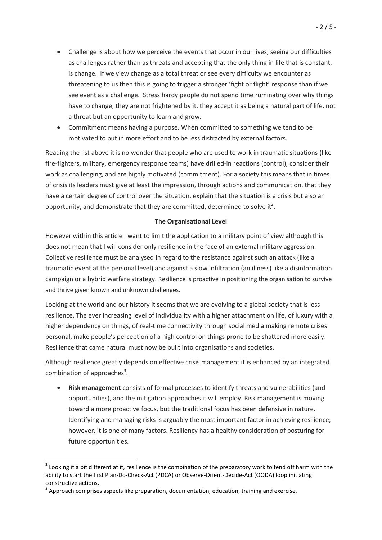- Challenge is about how we perceive the events that occur in our lives; seeing our difficulties as challenges rather than as threats and accepting that the only thing in life that is constant, is change. If we view change as a total threat or see every difficulty we encounter as threatening to us then this is going to trigger a stronger 'fight or flight' response than if we see event as a challenge. Stress hardy people do not spend time ruminating over why things have to change, they are not frightened by it, they accept it as being a natural part of life, not a threat but an opportunity to learn and grow.
- Commitment means having a purpose. When committed to something we tend to be motivated to put in more effort and to be less distracted by external factors.

Reading the list above it is no wonder that people who are used to work in traumatic situations (like fire-fighters, military, emergency response teams) have drilled-in reactions (control), consider their work as challenging, and are highly motivated (commitment). For a society this means that in times of crisis its leaders must give at least the impression, through actions and communication, that they have a certain degree of control over the situation, explain that the situation is a crisis but also an opportunity, and demonstrate that they are committed, determined to solve it<sup>2</sup>.

#### **The Organisational Level**

However within this article I want to limit the application to a military point of view although this does not mean that I will consider only resilience in the face of an external military aggression. Collective resilience must be analysed in regard to the resistance against such an attack (like a traumatic event at the personal level) and against a slow infiltration (an illness) like a disinformation campaign or a hybrid warfare strategy. Resilience is proactive in positioning the organisation to survive and thrive given known and unknown challenges.

Looking at the world and our history it seems that we are evolving to a global society that is less resilience. The ever increasing level of individuality with a higher attachment on life, of luxury with a higher dependency on things, of real-time connectivity through social media making remote crises personal, make people's perception of a high control on things prone to be shattered more easily. Resilience that came natural must now be built into organisations and societies.

Although resilience greatly depends on effective crisis management it is enhanced by an integrated combination of approaches<sup>3</sup>.

 **[Risk management](https://en.wikipedia.org/wiki/Risk_management)** consists of formal processes to identify threats and vulnerabilities (and opportunities), and the mitigation approaches it will employ. Risk management is moving toward a more proactive focus, but the traditional focus has been defensive in nature. Identifying and managing risks is arguably the most important factor in achieving resilience; however, it is one of many factors. Resiliency has a healthy consideration of posturing for future opportunities.

1

 $2$  Looking it a bit different at it, resilience is the combination of the preparatory work to fend off harm with the ability to start the first Plan-Do-Check-Act (PDCA) or Observe-Orient-Decide-Act (OODA) loop initiating constructive actions.

 $3$  Approach comprises aspects like preparation, documentation, education, training and exercise.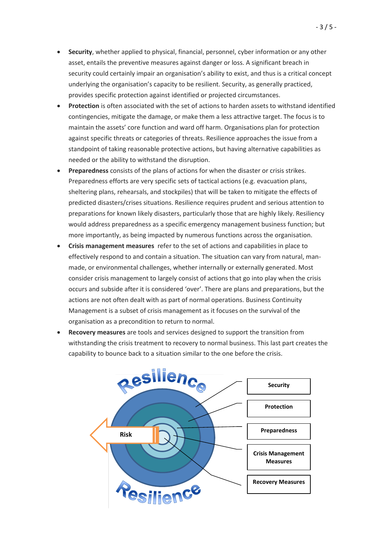- **Security**, whether applied to physical, financial, personnel, cyber information or any other asset, entails the preventive measures against danger or loss. A significant breach in security could certainly impair an organisation's ability to exist, and thus is a critical concept underlying the organisation's capacity to be resilient. Security, as generally practiced, provides specific protection against identified or projected circumstances.
- **Protection** is often associated with the set of actions to harden assets to withstand identified contingencies, mitigate the damage, or make them a less attractive target. The focus is to maintain the assets' core function and ward off harm. Organisations plan for protection against specific threats or categories of threats. Resilience approaches the issue from a standpoint of taking reasonable protective actions, but having alternative capabilities as needed or the ability to withstand the disruption.
- **[Preparedness](https://en.wikipedia.org/wiki/Preparedness)** consists of the plans of actions for when the disaster or crisis strikes. Preparedness efforts are very specific sets of tactical actions (e.g. evacuation plans, sheltering plans, rehearsals, and stockpiles) that will be taken to mitigate the effects of predicted disasters/crises situations. Resilience requires prudent and serious attention to preparations for known likely disasters, particularly those that are highly likely. Resiliency would address preparedness as a specific emergency management business function; but more importantly, as being impacted by numerous functions across the organisation.
- **[Crisis management measures](https://en.wikipedia.org/wiki/Crisis_management)** refer to the set of actions and capabilities in place to effectively respond to and contain a situation. The situation can vary from natural, manmade, or environmental challenges, whether internally or externally generated. Most consider crisis management to largely consist of actions that go into play when the crisis occurs and subside after it is considered 'over'. There are plans and preparations, but the actions are not often dealt with as part of normal operations. Business Continuity Management is a subset of crisis management as it focuses on the survival of the organisation as a precondition to return to normal.
- **Recovery measures** are tools and services designed to support the transition from withstanding the crisis treatment to recovery to normal business. This last part creates the capability to bounce back to a situation similar to the one before the crisis.

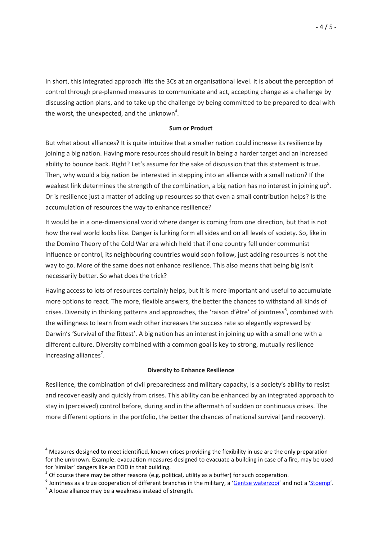In short, this integrated approach lifts the 3Cs at an organisational level. It is about the perception of control through pre-planned measures to communicate and act, accepting change as a challenge by discussing action plans, and to take up the challenge by being committed to be prepared to deal with the worst, the unexpected, and the unknown<sup>4</sup>.

### **Sum or Product**

But what about alliances? It is quite intuitive that a smaller nation could increase its resilience by joining a big nation. Having more resources should result in being a harder target and an increased ability to bounce back. Right? Let's assume for the sake of discussion that this statement is true. Then, why would a big nation be interested in stepping into an alliance with a small nation? If the weakest link determines the strength of the combination, a big nation has no interest in joining up<sup>5</sup>. Or is resilience just a matter of adding up resources so that even a small contribution helps? Is the accumulation of resources the way to enhance resilience?

It would be in a one-dimensional world where danger is coming from one direction, but that is not how the real world looks like. Danger is lurking form all sides and on all levels of society. So, like in the Domino Theory of the Cold War era which held that if one country fell under communist influence or control, its neighbouring countries would soon follow, just adding resources is not the way to go. More of the same does not enhance resilience. This also means that being big isn't necessarily better. So what does the trick?

Having access to lots of resources certainly helps, but it is more important and useful to accumulate more options to react. The more, flexible answers, the better the chances to withstand all kinds of crises. Diversity in thinking patterns and approaches, the 'raison d'être' of jointness<sup>6</sup>, combined with the willingness to learn from each other increases the success rate so elegantly expressed by Darwin's 'Survival of the fittest'. A big nation has an interest in joining up with a small one with a different culture. Diversity combined with a common goal is key to strong, mutually resilience increasing alliances<sup>7</sup>.

## **Diversity to Enhance Resilience**

Resilience, the combination of civil preparedness and military capacity, is a society's ability to resist and recover easily and quickly from crises. This ability can be enhanced by an integrated approach to stay in (perceived) control before, during and in the aftermath of sudden or continuous crises. The more different options in the portfolio, the better the chances of national survival (and recovery).

**.** 

<sup>&</sup>lt;sup>4</sup> Measures designed to meet identified, known crises providing the flexibility in use are the only preparation for the unknown. Example: evacuation measures designed to evacuate a building in case of a fire, may be used for 'similar' dangers like an EOD in that building.

 $<sup>5</sup>$  Of course there may be other reasons (e.g. political, utility as a buffer) for such cooperation.</sup>

<sup>&</sup>lt;sup>6</sup> Jointness as a true cooperation of different branches in the military, a '<u>[Gentse waterzooi](https://en.wikipedia.org/wiki/Waterzooi)</u>' and not a '<u>[Stoemp](https://en.wikipedia.org/wiki/Stoemp)</u>'.

 $^7$  A loose alliance may be a weakness instead of strength.